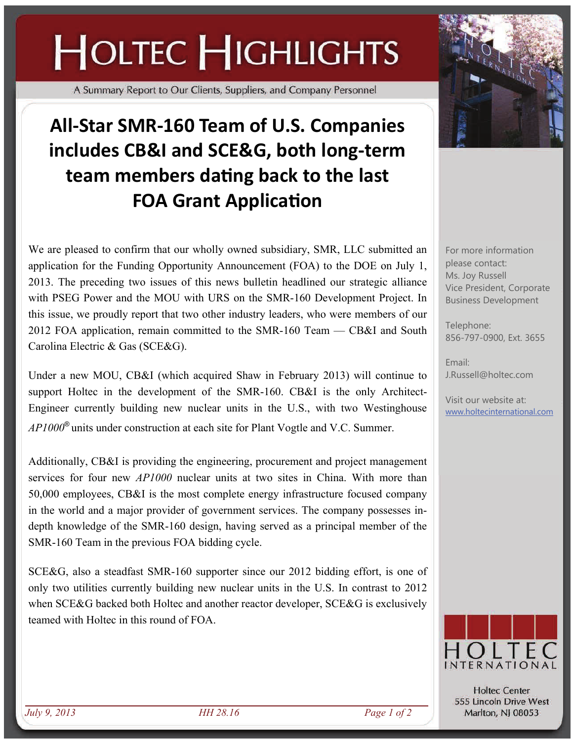## **HOLTEC HIGHLIGHTS**

A Summary Report to Our Clients, Suppliers, and Company Personnel

## **All‐Star SMR‐160 Team of U.S. Companies includes CB&I and SCE&G, both long‐term team members daƟng back to the last FOA** Grant Application

We are pleased to confirm that our wholly owned subsidiary, SMR, LLC submitted an application for the Funding Opportunity Announcement (FOA) to the DOE on July 1, 2013. The preceding two issues of this news bulletin headlined our strategic alliance with PSEG Power and the MOU with URS on the SMR-160 Development Project. In this issue, we proudly report that two other industry leaders, who were members of our 2012 FOA application, remain committed to the SMR-160 Team — CB&I and South Carolina Electric & Gas (SCE&G).

Under a new MOU, CB&I (which acquired Shaw in February 2013) will continue to support Holtec in the development of the SMR-160. CB&I is the only Architect-Engineer currently building new nuclear units in the U.S., with two Westinghouse *AP1000*® units under construction at each site for Plant Vogtle and V.C. Summer.

Additionally, CB&I is providing the engineering, procurement and project management services for four new *AP1000* nuclear units at two sites in China. With more than 50,000 employees, CB&I is the most complete energy infrastructure focused company in the world and a major provider of government services. The company possesses indepth knowledge of the SMR-160 design, having served as a principal member of the SMR-160 Team in the previous FOA bidding cycle.

SCE&G, also a steadfast SMR-160 supporter since our 2012 bidding effort, is one of only two utilities currently building new nuclear units in the U.S. In contrast to 2012 when SCE&G backed both Holtec and another reactor developer, SCE&G is exclusively teamed with Holtec in this round of FOA.



For more information please contact: Ms. Joy Russell Vice President, Corporate Business Development

Telephone: 856-797-0900, Ext. 3655

Email: J.Russell@holtec.com

Visit our website at: [www.holtecinternational.com](http://www.holtecinternational.com)



**Holtec Center** 555 Lincoln Drive West Marlton, NJ 08053